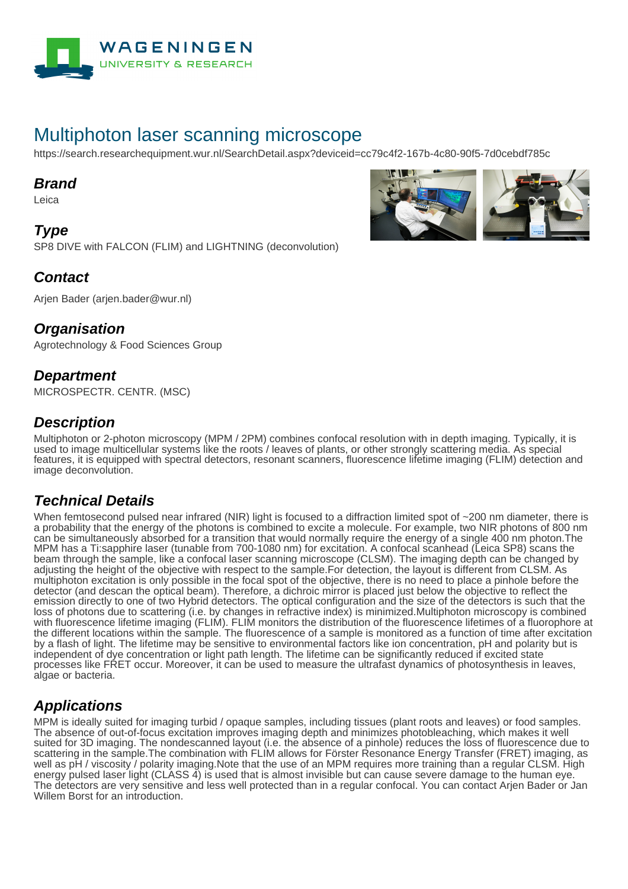

# Multiphoton laser scanning microscope

https://search.researchequipment.wur.nl/SearchDetail.aspx?deviceid=cc79c4f2-167b-4c80-90f5-7d0cebdf785c

#### **Brand**

Leica

**Type** SP8 DIVE with FALCON (FLIM) and LIGHTNING (deconvolution)



Arjen Bader (arjen.bader@wur.nl)

#### **Organisation**

Agrotechnology & Food Sciences Group

#### **Department**

MICROSPECTR. CENTR. (MSC)

### **Description**

Multiphoton or 2-photon microscopy (MPM / 2PM) combines confocal resolution with in depth imaging. Typically, it is used to image multicellular systems like the roots / leaves of plants, or other strongly scattering media. As special features, it is equipped with spectral detectors, resonant scanners, fluorescence lifetime imaging (FLIM) detection and image deconvolution.

## **Technical Details**

When femtosecond pulsed near infrared (NIR) light is focused to a diffraction limited spot of ~200 nm diameter, there is a probability that the energy of the photons is combined to excite a molecule. For example, two NIR photons of 800 nm can be simultaneously absorbed for a transition that would normally require the energy of a single 400 nm photon.The MPM has a Ti:sapphire laser (tunable from 700-1080 nm) for excitation. A confocal scanhead (Leica SP8) scans the beam through the sample, like a confocal laser scanning microscope (CLSM). The imaging depth can be changed by adjusting the height of the objective with respect to the sample.For detection, the layout is different from CLSM. As multiphoton excitation is only possible in the focal spot of the objective, there is no need to place a pinhole before the detector (and descan the optical beam). Therefore, a dichroic mirror is placed just below the objective to reflect the emission directly to one of two Hybrid detectors. The optical configuration and the size of the detectors is such that the loss of photons due to scattering (i.e. by changes in refractive index) is minimized.Multiphoton microscopy is combined with fluorescence lifetime imaging (FLIM). FLIM monitors the distribution of the fluorescence lifetimes of a fluorophore at the different locations within the sample. The fluorescence of a sample is monitored as a function of time after excitation by a flash of light. The lifetime may be sensitive to environmental factors like ion concentration, pH and polarity but is independent of dye concentration or light path length. The lifetime can be significantly reduced if excited state processes like FRET occur. Moreover, it can be used to measure the ultrafast dynamics of photosynthesis in leaves, algae or bacteria.

## **Applications**

MPM is ideally suited for imaging turbid / opaque samples, including tissues (plant roots and leaves) or food samples. The absence of out-of-focus excitation improves imaging depth and minimizes photobleaching, which makes it well suited for 3D imaging. The nondescanned layout (i.e. the absence of a pinhole) reduces the loss of fluorescence due to scattering in the sample. The combination with FLIM allows for Förster Resonance Energy Transfer (FRET) imaging, as well as pH / viscosity / polarity imaging.Note that the use of an MPM requires more training than a regular CLSM. High energy pulsed laser light (CLASS 4) is used that is almost invisible but can cause severe damage to the human eye. The detectors are very sensitive and less well protected than in a regular confocal. You can contact Arjen Bader or Jan Willem Borst for an introduction.